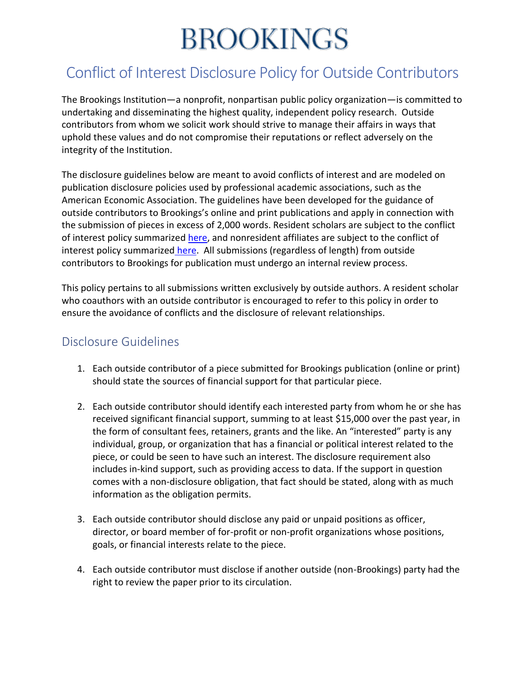# **BROOKINGS**

### Conflict of Interest Disclosure Policy for Outside Contributors

The Brookings Institution—a nonprofit, nonpartisan public policy organization—is committed to undertaking and disseminating the highest quality, independent policy research. Outside contributors from whom we solicit work should strive to manage their affairs in ways that uphold these values and do not compromise their reputations or reflect adversely on the integrity of the Institution.

The disclosure guidelines below are meant to avoid conflicts of interest and are modeled on publication disclosure policies used by professional academic associations, such as the American Economic Association. The guidelines have been developed for the guidance of outside contributors to Brookings's online and print publications and apply in connection with the submission of pieces in excess of 2,000 words. Resident scholars are subject to the conflict of interest policy summarized [here,](https://www.brookings.edu/wp-content/uploads/2016/07/COI_Summary_Scholars.pdf) and nonresident affiliates are subject to the conflict of interest policy summarized [here.](https://www.brookings.edu/wp-content/uploads/2016/07/COI_Summary_NRScholars.pdf) All submissions (regardless of length) from outside contributors to Brookings for publication must undergo an internal review process.

This policy pertains to all submissions written exclusively by outside authors. A resident scholar who coauthors with an outside contributor is encouraged to refer to this policy in order to ensure the avoidance of conflicts and the disclosure of relevant relationships.

#### Disclosure Guidelines

- 1. Each outside contributor of a piece submitted for Brookings publication (online or print) should state the sources of financial support for that particular piece.
- 2. Each outside contributor should identify each interested party from whom he or she has received significant financial support, summing to at least \$15,000 over the past year, in the form of consultant fees, retainers, grants and the like. An "interested" party is any individual, group, or organization that has a financial or political interest related to the piece, or could be seen to have such an interest. The disclosure requirement also includes in-kind support, such as providing access to data. If the support in question comes with a non-disclosure obligation, that fact should be stated, along with as much information as the obligation permits.
- 3. Each outside contributor should disclose any paid or unpaid positions as officer, director, or board member of for-profit or non-profit organizations whose positions, goals, or financial interests relate to the piece.
- 4. Each outside contributor must disclose if another outside (non-Brookings) party had the right to review the paper prior to its circulation.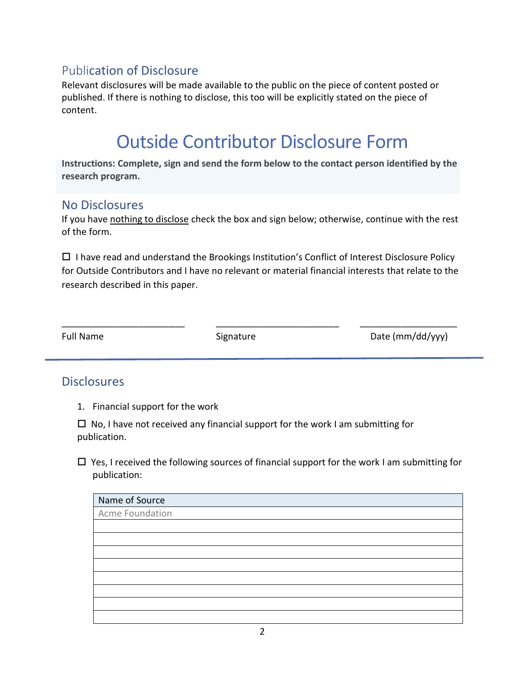#### Publication of Disclosure

Relevant disclosures will be made available to the public on the piece of content posted or published. If there is nothing to disclose, this too will be explicitly stated on the piece of content.

## Outside Contributor Disclosure Form

**Instructions: Complete, sign and send the form below to the contact person identified by the research program.**

#### No Disclosures

If you have nothing to disclose check the box and sign below; otherwise, continue with the rest of the form.

 $\Box$  I have read and understand the Brookings Institution's Conflict of Interest Disclosure Policy for Outside Contributors and I have no relevant or material financial interests that relate to the research described in this paper.

\_\_\_\_\_\_\_\_\_\_\_\_\_\_\_\_\_\_\_\_\_\_\_\_ \_\_\_\_\_\_\_\_\_\_\_\_\_\_\_\_\_\_\_\_\_\_\_\_ \_\_\_\_\_\_\_\_\_\_\_\_\_\_\_\_\_\_\_

Full Name Signature Signature Date (mm/dd/yyy)

#### **Disclosures**

1. Financial support for the work

 $\Box$  No, I have not received any financial support for the work I am submitting for publication.

 $\Box$  Yes, I received the following sources of financial support for the work I am submitting for publication:

| Name of Source  |
|-----------------|
| Acme Foundation |
|                 |
|                 |
|                 |
|                 |
|                 |
|                 |
|                 |
|                 |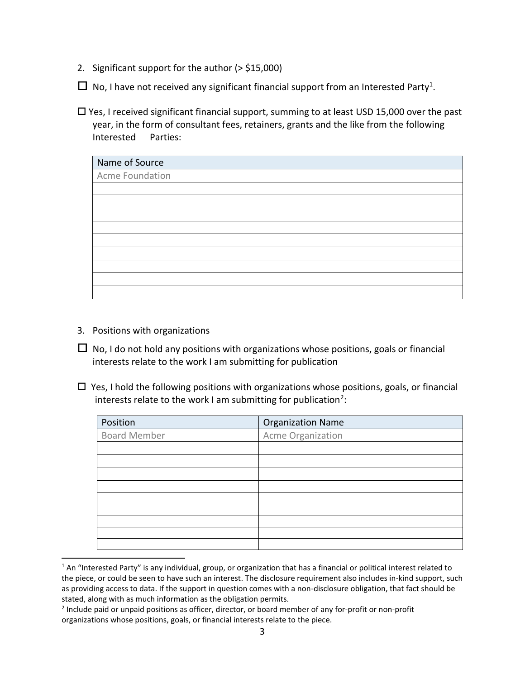- 2. Significant support for the author (> \$15,000)
- $\Box$  No, I have not received any significant financial support from an Interested Party<sup>1</sup>.
- $\Box$  Yes, I received significant financial support, summing to at least USD 15,000 over the past year, in the form of consultant fees, retainers, grants and the like from the following Interested Parties:

| Name of Source  |  |
|-----------------|--|
| Acme Foundation |  |
|                 |  |
|                 |  |
|                 |  |
|                 |  |
|                 |  |
|                 |  |
|                 |  |
|                 |  |
|                 |  |

3. Positions with organizations

 $\overline{a}$ 

- $\Box$  No, I do not hold any positions with organizations whose positions, goals or financial interests relate to the work I am submitting for publication
- $\Box$  Yes, I hold the following positions with organizations whose positions, goals, or financial interests relate to the work I am submitting for publication<sup>2</sup>:

| Position            | <b>Organization Name</b> |
|---------------------|--------------------------|
| <b>Board Member</b> | Acme Organization        |
|                     |                          |
|                     |                          |
|                     |                          |
|                     |                          |
|                     |                          |
|                     |                          |
|                     |                          |
|                     |                          |
|                     |                          |

 $1$  An "Interested Party" is any individual, group, or organization that has a financial or political interest related to the piece, or could be seen to have such an interest. The disclosure requirement also includes in-kind support, such as providing access to data. If the support in question comes with a non-disclosure obligation, that fact should be stated, along with as much information as the obligation permits.

<sup>&</sup>lt;sup>2</sup> Include paid or unpaid positions as officer, director, or board member of any for-profit or non-profit organizations whose positions, goals, or financial interests relate to the piece.